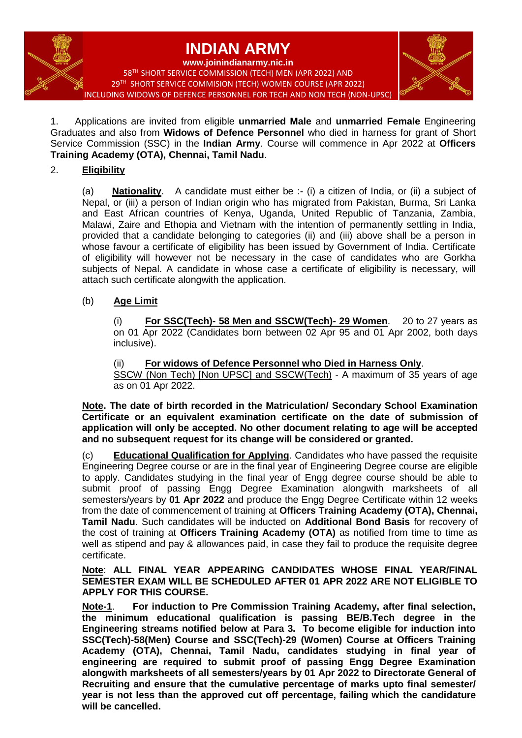# **INDIAN ARMY**

**www.joinindianarmy.nic.in** 58 TH SHORT SERVICE COMMISSION (TECH) MEN (APR 2022) AND 29 TH SHORT SERVICE COMMISION (TECH) WOMEN COURSE (APR 2022) INCLUDING WIDOWS OF DEFENCE PERSONNEL FOR TECH AND NON TECH (NON-UPSC)



1.Applications are invited from eligible **unmarried Male** and **unmarried Female** Engineering Graduates and also from **Widows of Defence Personnel** who died in harness for grant of Short Service Commission (SSC) in the **Indian Army**. Course will commence in Apr 2022 at **Officers Training Academy (OTA), Chennai, Tamil Nadu**.

# 2. **Eligibility**

(a) **Nationality**.A candidate must either be :- (i) a citizen of India, or (ii) a subject of Nepal, or (iii) a person of Indian origin who has migrated from Pakistan, Burma, Sri Lanka and East African countries of Kenya, Uganda, United Republic of Tanzania, Zambia, Malawi, Zaire and Ethopia and Vietnam with the intention of permanently settling in India, provided that a candidate belonging to categories (ii) and (iii) above shall be a person in whose favour a certificate of eligibility has been issued by Government of India. Certificate of eligibility will however not be necessary in the case of candidates who are Gorkha subjects of Nepal. A candidate in whose case a certificate of eligibility is necessary, will attach such certificate alongwith the application.

### (b) **Age Limit**

(i) **For SSC(Tech)- 58 Men and SSCW(Tech)- 29 Women**. 20 to 27 years as on 01 Apr 2022 (Candidates born between 02 Apr 95 and 01 Apr 2002, both days inclusive).

(ii) **For widows of Defence Personnel who Died in Harness Only**.

SSCW (Non Tech) [Non UPSC] and SSCW(Tech) - A maximum of 35 years of age as on 01 Apr 2022.

**Note. The date of birth recorded in the Matriculation/ Secondary School Examination Certificate or an equivalent examination certificate on the date of submission of application will only be accepted. No other document relating to age will be accepted and no subsequent request for its change will be considered or granted.**

(c) **Educational Qualification for Applying**. Candidates who have passed the requisite Engineering Degree course or are in the final year of Engineering Degree course are eligible to apply. Candidates studying in the final year of Engg degree course should be able to submit proof of passing Engg Degree Examination alongwith marksheets of all semesters/years by **01 Apr 2022** and produce the Engg Degree Certificate within 12 weeks from the date of commencement of training at **Officers Training Academy (OTA), Chennai, Tamil Nadu**. Such candidates will be inducted on **Additional Bond Basis** for recovery of the cost of training at **Officers Training Academy (OTA)** as notified from time to time as well as stipend and pay & allowances paid, in case they fail to produce the requisite degree certificate.

**Note**: **ALL FINAL YEAR APPEARING CANDIDATES WHOSE FINAL YEAR/FINAL SEMESTER EXAM WILL BE SCHEDULED AFTER 01 APR 2022 ARE NOT ELIGIBLE TO APPLY FOR THIS COURSE.**

**Note-1**. **For induction to Pre Commission Training Academy, after final selection, the minimum educational qualification is passing BE/B.Tech degree in the Engineering streams notified below at Para 3. To become eligible for induction into SSC(Tech)-58(Men) Course and SSC(Tech)-29 (Women) Course at Officers Training Academy (OTA), Chennai, Tamil Nadu, candidates studying in final year of engineering are required to submit proof of passing Engg Degree Examination alongwith marksheets of all semesters/years by 01 Apr 2022 to Directorate General of Recruiting and ensure that the cumulative percentage of marks upto final semester/ year is not less than the approved cut off percentage, failing which the candidature will be cancelled.**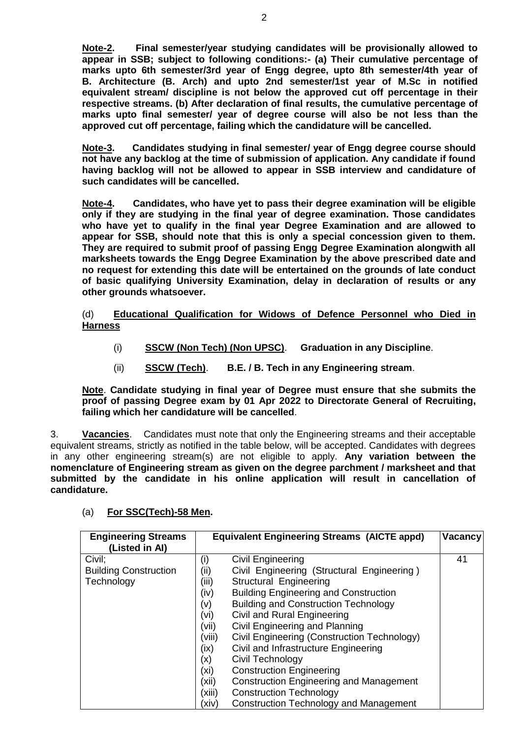**Note-2. Final semester/year studying candidates will be provisionally allowed to appear in SSB; subject to following conditions:- (a) Their cumulative percentage of marks upto 6th semester/3rd year of Engg degree, upto 8th semester/4th year of B. Architecture (B. Arch) and upto 2nd semester/1st year of M.Sc in notified equivalent stream/ discipline is not below the approved cut off percentage in their respective streams. (b) After declaration of final results, the cumulative percentage of marks upto final semester/ year of degree course will also be not less than the approved cut off percentage, failing which the candidature will be cancelled.**

**Note-3. Candidates studying in final semester/ year of Engg degree course should not have any backlog at the time of submission of application. Any candidate if found having backlog will not be allowed to appear in SSB interview and candidature of such candidates will be cancelled.**

**Note-4. Candidates, who have yet to pass their degree examination will be eligible only if they are studying in the final year of degree examination. Those candidates who have yet to qualify in the final year Degree Examination and are allowed to appear for SSB, should note that this is only a special concession given to them. They are required to submit proof of passing Engg Degree Examination alongwith all marksheets towards the Engg Degree Examination by the above prescribed date and no request for extending this date will be entertained on the grounds of late conduct of basic qualifying University Examination, delay in declaration of results or any other grounds whatsoever.**

#### (d) **Educational Qualification for Widows of Defence Personnel who Died in Harness**

- (i) **SSCW (Non Tech) (Non UPSC)**. **Graduation in any Discipline**.
- (ii) **SSCW (Tech)**. **B.E. / B. Tech in any Engineering stream**.

**Note**. **Candidate studying in final year of Degree must ensure that she submits the proof of passing Degree exam by 01 Apr 2022 to Directorate General of Recruiting, failing which her candidature will be cancelled**.

3. **Vacancies**.Candidates must note that only the Engineering streams and their acceptable equivalent streams, strictly as notified in the table below, will be accepted. Candidates with degrees in any other engineering stream(s) are not eligible to apply. **Any variation between the nomenclature of Engineering stream as given on the degree parchment / marksheet and that submitted by the candidate in his online application will result in cancellation of candidature.**

| <b>Engineering Streams</b>   | <b>Equivalent Engineering Streams (AICTE appd)</b> |                                                | Vacancy |
|------------------------------|----------------------------------------------------|------------------------------------------------|---------|
| (Listed in Al)               |                                                    |                                                |         |
| Civil;                       | (i)                                                | Civil Engineering                              | 41      |
| <b>Building Construction</b> | (ii)                                               | Civil Engineering (Structural Engineering)     |         |
| Technology                   | (iii)                                              | Structural Engineering                         |         |
|                              | (iv)                                               | <b>Building Engineering and Construction</b>   |         |
|                              | (v)                                                | <b>Building and Construction Technology</b>    |         |
|                              | (vi)                                               | Civil and Rural Engineering                    |         |
|                              | (vii)                                              | Civil Engineering and Planning                 |         |
|                              | (viii)                                             | Civil Engineering (Construction Technology)    |         |
|                              | (ix)                                               | Civil and Infrastructure Engineering           |         |
|                              | (x)                                                | Civil Technology                               |         |
|                              | (x <sub>i</sub> )                                  | <b>Construction Engineering</b>                |         |
|                              | (xii)                                              | <b>Construction Engineering and Management</b> |         |
|                              | (xiii)                                             | <b>Construction Technology</b>                 |         |
|                              | (xiv)                                              | <b>Construction Technology and Management</b>  |         |

#### (a) **For SSC(Tech)-58 Men.**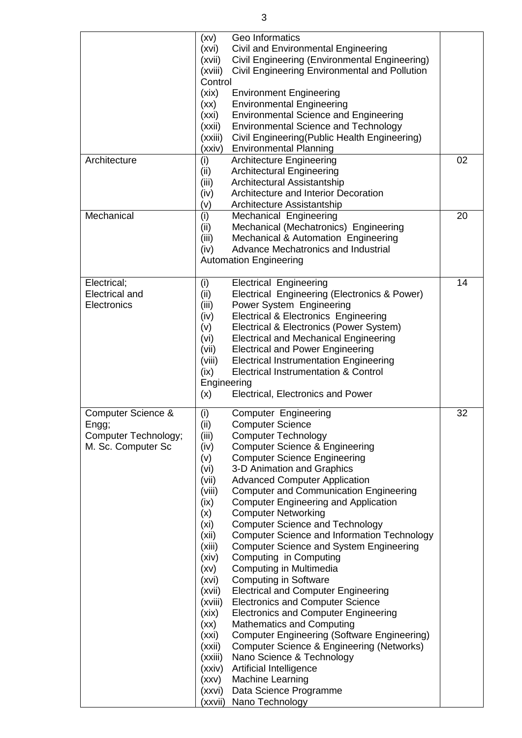|                                                                           | (xv)<br>(xvi)<br>(xvii)<br>(xviii)<br>Control<br>(xix)<br>(xx)<br>(xxi)<br>(xxi)<br>(xxiii)<br>(xxiv)                                                                                                                                          | Geo Informatics<br>Civil and Environmental Engineering<br>Civil Engineering (Environmental Engineering)<br>Civil Engineering Environmental and Pollution<br><b>Environment Engineering</b><br><b>Environmental Engineering</b><br><b>Environmental Science and Engineering</b><br><b>Environmental Science and Technology</b><br>Civil Engineering (Public Health Engineering)<br><b>Environmental Planning</b>                                                                                                                                                                                                                                                                                                                                                                                                                                                                                                                                                                                                             |    |
|---------------------------------------------------------------------------|------------------------------------------------------------------------------------------------------------------------------------------------------------------------------------------------------------------------------------------------|-----------------------------------------------------------------------------------------------------------------------------------------------------------------------------------------------------------------------------------------------------------------------------------------------------------------------------------------------------------------------------------------------------------------------------------------------------------------------------------------------------------------------------------------------------------------------------------------------------------------------------------------------------------------------------------------------------------------------------------------------------------------------------------------------------------------------------------------------------------------------------------------------------------------------------------------------------------------------------------------------------------------------------|----|
| Architecture                                                              | (i)<br>(ii)<br>(iii)<br>(iv)<br>(v)                                                                                                                                                                                                            | <b>Architecture Engineering</b><br><b>Architectural Engineering</b><br>Architectural Assistantship<br>Architecture and Interior Decoration<br>Architecture Assistantship                                                                                                                                                                                                                                                                                                                                                                                                                                                                                                                                                                                                                                                                                                                                                                                                                                                    | 02 |
| Mechanical                                                                | (i)<br>(ii)<br>(iii)<br>(iv)                                                                                                                                                                                                                   | Mechanical Engineering<br>Mechanical (Mechatronics) Engineering<br>Mechanical & Automation Engineering<br>Advance Mechatronics and Industrial<br><b>Automation Engineering</b>                                                                                                                                                                                                                                                                                                                                                                                                                                                                                                                                                                                                                                                                                                                                                                                                                                              | 20 |
| Electrical;<br><b>Electrical and</b><br>Electronics                       | (i)<br>(ii)<br>(iii)<br>(iv)<br>(v)<br>(vi)<br>(vii)<br>(viii)<br>(ix)<br>Engineering<br>(x)                                                                                                                                                   | <b>Electrical Engineering</b><br>Electrical Engineering (Electronics & Power)<br>Power System Engineering<br><b>Electrical &amp; Electronics Engineering</b><br>Electrical & Electronics (Power System)<br><b>Electrical and Mechanical Engineering</b><br><b>Electrical and Power Engineering</b><br><b>Electrical Instrumentation Engineering</b><br><b>Electrical Instrumentation &amp; Control</b><br>Electrical, Electronics and Power                                                                                                                                                                                                                                                                                                                                                                                                                                                                                                                                                                                 | 14 |
| Computer Science &<br>Engg;<br>Computer Technology;<br>M. Sc. Computer Sc | (i)<br>(ii)<br>(iii)<br>(iv)<br>(v)<br>(vi)<br>(vii)<br>(viii)<br>(ix)<br>(x)<br>(xi)<br>(xii)<br>(xiii)<br>(xiv)<br>(xv)<br>(xvi)<br>(xvii)<br>(xviii)<br>(xix)<br>(xx)<br>(xxi)<br>(xxii)<br>(xxiii)<br>(xxiv)<br>(xxv)<br>(xxvi)<br>(xxvii) | <b>Computer Engineering</b><br><b>Computer Science</b><br><b>Computer Technology</b><br><b>Computer Science &amp; Engineering</b><br><b>Computer Science Engineering</b><br>3-D Animation and Graphics<br><b>Advanced Computer Application</b><br><b>Computer and Communication Engineering</b><br><b>Computer Engineering and Application</b><br><b>Computer Networking</b><br><b>Computer Science and Technology</b><br><b>Computer Science and Information Technology</b><br><b>Computer Science and System Engineering</b><br>Computing in Computing<br>Computing in Multimedia<br><b>Computing in Software</b><br><b>Electrical and Computer Engineering</b><br><b>Electronics and Computer Science</b><br><b>Electronics and Computer Engineering</b><br><b>Mathematics and Computing</b><br><b>Computer Engineering (Software Engineering)</b><br>Computer Science & Engineering (Networks)<br>Nano Science & Technology<br>Artificial Intelligence<br>Machine Learning<br>Data Science Programme<br>Nano Technology | 32 |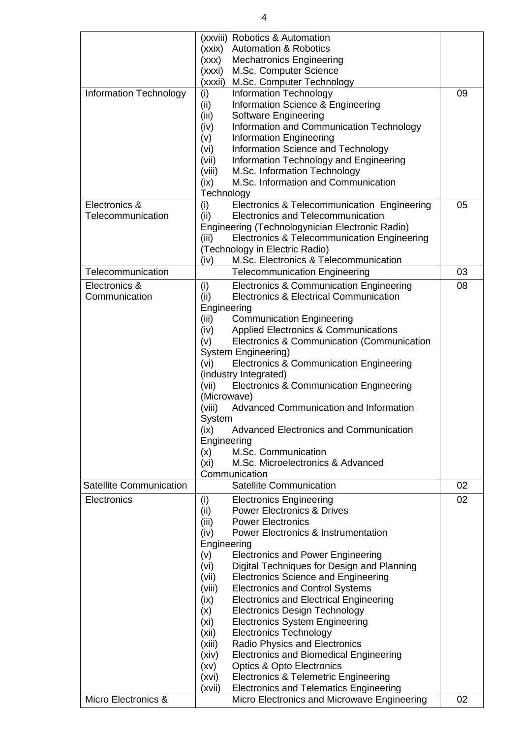| <b>Information Technology</b>      | (xxviii) Robotics & Automation<br>(xxix) Automation & Robotics<br><b>Mechatronics Engineering</b><br>(xxx)<br>(xxxi)<br>M.Sc. Computer Science<br>M.Sc. Computer Technology<br>(xxxii)<br>(i)<br><b>Information Technology</b><br>(ii)<br>Information Science & Engineering<br>(iii)<br>Software Engineering<br>Information and Communication Technology<br>(iv)<br>Information Engineering<br>(v)<br>Information Science and Technology<br>(vi)<br>Information Technology and Engineering<br>(vii)<br>M.Sc. Information Technology<br>(viii)                                                                                                                                                                                                                                                                                                                                                           | 09 |
|------------------------------------|---------------------------------------------------------------------------------------------------------------------------------------------------------------------------------------------------------------------------------------------------------------------------------------------------------------------------------------------------------------------------------------------------------------------------------------------------------------------------------------------------------------------------------------------------------------------------------------------------------------------------------------------------------------------------------------------------------------------------------------------------------------------------------------------------------------------------------------------------------------------------------------------------------|----|
|                                    | M.Sc. Information and Communication<br>(ix)<br>Technology                                                                                                                                                                                                                                                                                                                                                                                                                                                                                                                                                                                                                                                                                                                                                                                                                                               |    |
| Electronics &<br>Telecommunication | (i)<br>Electronics & Telecommunication Engineering<br>(ii)<br>Electronics and Telecommunication<br>Engineering (Technologynician Electronic Radio)<br>(iii)<br>Electronics & Telecommunication Engineering<br>(Technology in Electric Radio)<br>M.Sc. Electronics & Telecommunication<br>(iv)                                                                                                                                                                                                                                                                                                                                                                                                                                                                                                                                                                                                           | 05 |
| Telecommunication                  | <b>Telecommunication Engineering</b>                                                                                                                                                                                                                                                                                                                                                                                                                                                                                                                                                                                                                                                                                                                                                                                                                                                                    | 03 |
| Electronics &<br>Communication     | (i)<br>Electronics & Communication Engineering<br>Electronics & Electrical Communication<br>(ii)<br>Engineering<br>(iii)<br><b>Communication Engineering</b><br><b>Applied Electronics &amp; Communications</b><br>(iv)<br>Electronics & Communication (Communication<br>(v)<br>System Engineering)<br><b>Electronics &amp; Communication Engineering</b><br>(vi)<br>(industry Integrated)<br>Electronics & Communication Engineering<br>(vii)<br>(Microwave)<br>Advanced Communication and Information<br>(viii)<br>System<br><b>Advanced Electronics and Communication</b><br>(ix)<br>Engineering<br>M.Sc. Communication<br>(x)<br>M.Sc. Microelectronics & Advanced<br>(xi)<br>Communication                                                                                                                                                                                                         | 08 |
| <b>Satellite Communication</b>     | <b>Satellite Communication</b>                                                                                                                                                                                                                                                                                                                                                                                                                                                                                                                                                                                                                                                                                                                                                                                                                                                                          | 02 |
| Electronics                        | <b>Electronics Engineering</b><br>(i)<br>(ii)<br><b>Power Electronics &amp; Drives</b><br><b>Power Electronics</b><br>(iii)<br><b>Power Electronics &amp; Instrumentation</b><br>(iv)<br>Engineering<br><b>Electronics and Power Engineering</b><br>(v)<br>Digital Techniques for Design and Planning<br>(vi)<br><b>Electronics Science and Engineering</b><br>(vii)<br><b>Electronics and Control Systems</b><br>(viii)<br><b>Electronics and Electrical Engineering</b><br>(ix)<br>(x)<br><b>Electronics Design Technology</b><br><b>Electronics System Engineering</b><br>(xi)<br><b>Electronics Technology</b><br>(xii)<br>Radio Physics and Electronics<br>(xiii)<br><b>Electronics and Biomedical Engineering</b><br>(xiv)<br><b>Optics &amp; Opto Electronics</b><br>(xv)<br><b>Electronics &amp; Telemetric Engineering</b><br>(xvi)<br><b>Electronics and Telematics Engineering</b><br>(xvii) | 02 |
| Micro Electronics &                | Micro Electronics and Microwave Engineering                                                                                                                                                                                                                                                                                                                                                                                                                                                                                                                                                                                                                                                                                                                                                                                                                                                             | 02 |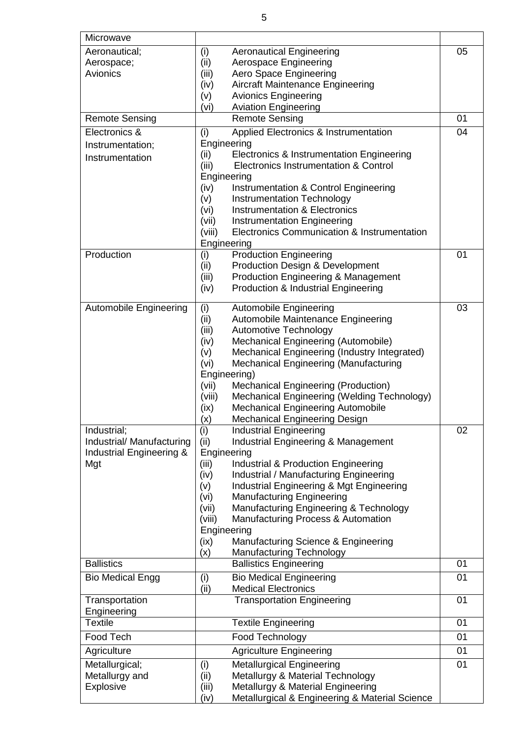| Microwave                       |                                                                                                 |    |
|---------------------------------|-------------------------------------------------------------------------------------------------|----|
| Aeronautical;                   | (i)<br><b>Aeronautical Engineering</b>                                                          | 05 |
| Aerospace;                      | Aerospace Engineering<br>(ii)                                                                   |    |
| Avionics                        | Aero Space Engineering<br>(iii)                                                                 |    |
|                                 | <b>Aircraft Maintenance Engineering</b><br>(iv)                                                 |    |
|                                 | <b>Avionics Engineering</b><br>(v)                                                              |    |
| <b>Remote Sensing</b>           | <b>Aviation Engineering</b><br>(vi)<br><b>Remote Sensing</b>                                    | 01 |
| Electronics &                   | Applied Electronics & Instrumentation                                                           | 04 |
| Instrumentation;                | (i)<br>Engineering                                                                              |    |
| Instrumentation                 | (ii)<br>Electronics & Instrumentation Engineering                                               |    |
|                                 | (iii)<br>Electronics Instrumentation & Control                                                  |    |
|                                 | Engineering                                                                                     |    |
|                                 | (iv)<br>Instrumentation & Control Engineering                                                   |    |
|                                 | Instrumentation Technology<br>(v)                                                               |    |
|                                 | <b>Instrumentation &amp; Electronics</b><br>(vi)<br><b>Instrumentation Engineering</b><br>(vii) |    |
|                                 | Electronics Communication & Instrumentation<br>(viii)                                           |    |
|                                 | Engineering                                                                                     |    |
| Production                      | (i)<br><b>Production Engineering</b>                                                            | 01 |
|                                 | (ii)<br><b>Production Design &amp; Development</b>                                              |    |
|                                 | <b>Production Engineering &amp; Management</b><br>(iii)                                         |    |
|                                 | (iv)<br>Production & Industrial Engineering                                                     |    |
| <b>Automobile Engineering</b>   | (i)<br><b>Automobile Engineering</b>                                                            | 03 |
|                                 | (ii)<br>Automobile Maintenance Engineering                                                      |    |
|                                 | <b>Automotive Technology</b><br>(iii)                                                           |    |
|                                 | Mechanical Engineering (Automobile)<br>(iv)                                                     |    |
|                                 | Mechanical Engineering (Industry Integrated)<br>(v)                                             |    |
|                                 | Mechanical Engineering (Manufacturing<br>(vi)<br>Engineering)                                   |    |
|                                 | Mechanical Engineering (Production)<br>(vii)                                                    |    |
|                                 | Mechanical Engineering (Welding Technology)<br>(viii)                                           |    |
|                                 | <b>Mechanical Engineering Automobile</b><br>(ix)                                                |    |
|                                 | <b>Mechanical Engineering Design</b><br>(x)                                                     |    |
| Industrial;                     | (i)<br><b>Industrial Engineering</b>                                                            | 02 |
| Industrial/ Manufacturing       | <b>Industrial Engineering &amp; Management</b><br>(ii)                                          |    |
| Industrial Engineering &<br>Mgt | Engineering<br>(iii)<br>Industrial & Production Engineering                                     |    |
|                                 | (iv)<br>Industrial / Manufacturing Engineering                                                  |    |
|                                 | Industrial Engineering & Mgt Engineering<br>(v)                                                 |    |
|                                 | <b>Manufacturing Engineering</b><br>(vi)                                                        |    |
|                                 | Manufacturing Engineering & Technology<br>(vii)                                                 |    |
|                                 | Manufacturing Process & Automation<br>(viii)                                                    |    |
|                                 | Engineering<br>Manufacturing Science & Engineering<br>(ix)                                      |    |
|                                 | (x)<br>Manufacturing Technology                                                                 |    |
| <b>Ballistics</b>               | <b>Ballistics Engineering</b>                                                                   | 01 |
| <b>Bio Medical Engg</b>         | (i)<br><b>Bio Medical Engineering</b>                                                           | 01 |
|                                 | <b>Medical Electronics</b><br>(ii)                                                              |    |
| Transportation<br>Engineering   | <b>Transportation Engineering</b>                                                               | 01 |
| <b>Textile</b>                  | <b>Textile Engineering</b>                                                                      | 01 |
| Food Tech                       | Food Technology                                                                                 | 01 |
| Agriculture                     | <b>Agriculture Engineering</b>                                                                  | 01 |
| Metallurgical;                  | <b>Metallurgical Engineering</b>                                                                | 01 |
| Metallurgy and                  | (i)<br>Metallurgy & Material Technology<br>(ii)                                                 |    |
| Explosive                       | Metallurgy & Material Engineering<br>(iii)                                                      |    |
|                                 | Metallurgical & Engineering & Material Science<br>(iv)                                          |    |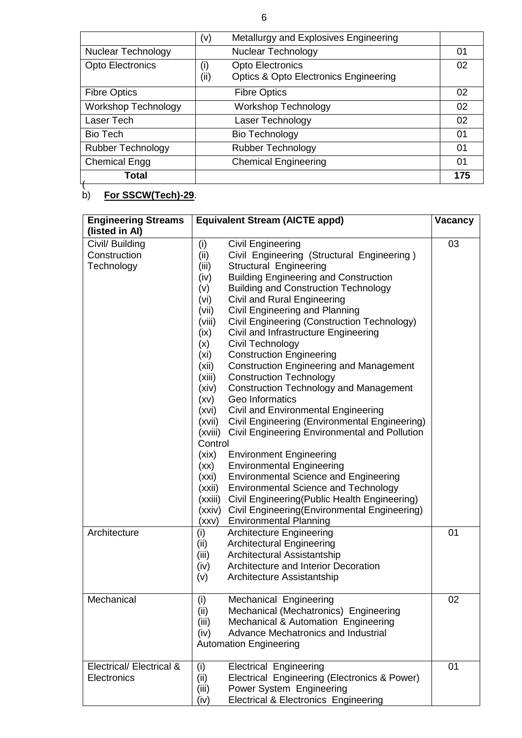|                            | Metallurgy and Explosives Engineering<br>(v)             |     |
|----------------------------|----------------------------------------------------------|-----|
| <b>Nuclear Technology</b>  | <b>Nuclear Technology</b>                                | 01  |
| <b>Opto Electronics</b>    | <b>Opto Electronics</b><br>(i)                           | 02  |
|                            | (ii)<br><b>Optics &amp; Opto Electronics Engineering</b> |     |
| <b>Fibre Optics</b>        | <b>Fibre Optics</b>                                      | 02  |
| <b>Workshop Technology</b> | <b>Workshop Technology</b>                               | 02  |
| Laser Tech                 | Laser Technology                                         | 02  |
| <b>Bio Tech</b>            | <b>Bio Technology</b>                                    | 01  |
| <b>Rubber Technology</b>   | <b>Rubber Technology</b>                                 | 01  |
| <b>Chemical Engg</b>       | <b>Chemical Engineering</b>                              | 01  |
| Total                      |                                                          | 175 |
|                            |                                                          |     |

b) **For SSCW(Tech)-29**.

| <b>Engineering Streams</b>          | <b>Equivalent Stream (AICTE appd)</b> |                                                 | <b>Vacancy</b> |
|-------------------------------------|---------------------------------------|-------------------------------------------------|----------------|
| (listed in Al)                      |                                       |                                                 |                |
| Civil/ Building                     | (i)                                   | <b>Civil Engineering</b>                        | 03             |
| Construction                        | (ii)                                  | Civil Engineering (Structural Engineering)      |                |
| Technology                          | (iii)                                 | Structural Engineering                          |                |
|                                     | (iv)                                  | <b>Building Engineering and Construction</b>    |                |
|                                     | (v)                                   | <b>Building and Construction Technology</b>     |                |
|                                     | (vi)                                  | Civil and Rural Engineering                     |                |
|                                     | (vii)                                 | Civil Engineering and Planning                  |                |
|                                     | (viii)                                | Civil Engineering (Construction Technology)     |                |
|                                     | (ix)                                  | Civil and Infrastructure Engineering            |                |
|                                     | (x)                                   | Civil Technology                                |                |
|                                     | (xi)                                  | <b>Construction Engineering</b>                 |                |
|                                     | (xii)                                 | <b>Construction Engineering and Management</b>  |                |
|                                     | (xiii)                                | <b>Construction Technology</b>                  |                |
|                                     | (xiv)                                 | <b>Construction Technology and Management</b>   |                |
|                                     | (xv)                                  | Geo Informatics                                 |                |
|                                     | (xvi)                                 | Civil and Environmental Engineering             |                |
|                                     | (xvii)                                | Civil Engineering (Environmental Engineering)   |                |
|                                     | (xviii)                               | Civil Engineering Environmental and Pollution   |                |
|                                     | Control                               |                                                 |                |
|                                     | (xix)                                 | <b>Environment Engineering</b>                  |                |
|                                     | (xx)                                  | <b>Environmental Engineering</b>                |                |
|                                     | (xxi)                                 | <b>Environmental Science and Engineering</b>    |                |
|                                     | (xxii)                                | <b>Environmental Science and Technology</b>     |                |
|                                     | (xxiii)                               | Civil Engineering(Public Health Engineering)    |                |
|                                     | (xxiv)                                | Civil Engineering (Environmental Engineering)   |                |
|                                     | (xxv)                                 | <b>Environmental Planning</b>                   |                |
| Architecture                        | (i)                                   | <b>Architecture Engineering</b>                 | 01             |
|                                     | (ii)                                  | <b>Architectural Engineering</b>                |                |
|                                     | (iii)                                 | Architectural Assistantship                     |                |
|                                     | (iv)                                  | Architecture and Interior Decoration            |                |
|                                     | (v)                                   | Architecture Assistantship                      |                |
| Mechanical                          | (i)                                   | Mechanical Engineering                          | 02             |
|                                     | (ii)                                  | Mechanical (Mechatronics) Engineering           |                |
|                                     | (iii)                                 | Mechanical & Automation Engineering             |                |
|                                     | (iv)                                  | Advance Mechatronics and Industrial             |                |
|                                     |                                       | <b>Automation Engineering</b>                   |                |
| <b>Electrical/ Electrical &amp;</b> | (i)                                   | <b>Electrical Engineering</b>                   | 01             |
| Electronics                         | (ii)                                  | Electrical Engineering (Electronics & Power)    |                |
|                                     | (iii)                                 | Power System Engineering                        |                |
|                                     | (iv)                                  | <b>Electrical &amp; Electronics Engineering</b> |                |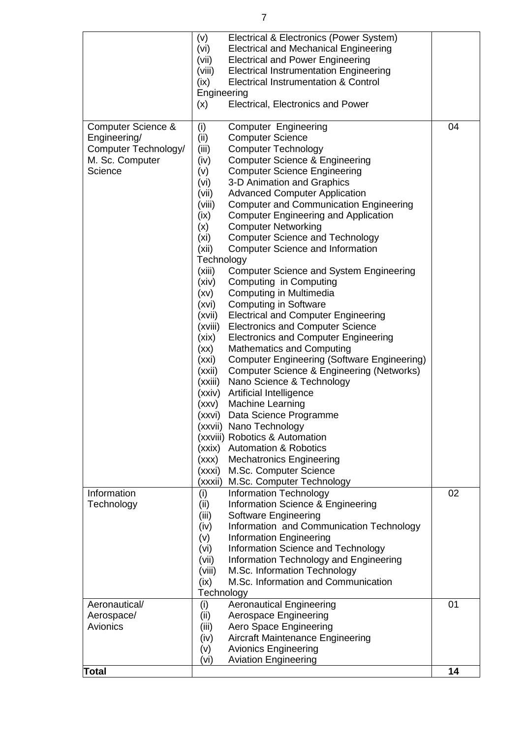|                      | (v)         | Electrical & Electronics (Power System)            |    |
|----------------------|-------------|----------------------------------------------------|----|
|                      | (vi)        | <b>Electrical and Mechanical Engineering</b>       |    |
|                      | (vii)       | <b>Electrical and Power Engineering</b>            |    |
|                      |             |                                                    |    |
|                      | (viii)      | <b>Electrical Instrumentation Engineering</b>      |    |
|                      | (ix)        | Electrical Instrumentation & Control               |    |
|                      | Engineering |                                                    |    |
|                      | (x)         | Electrical, Electronics and Power                  |    |
|                      |             |                                                    |    |
| Computer Science &   | (i)         | <b>Computer Engineering</b>                        | 04 |
| Engineering/         | (ii)        | <b>Computer Science</b>                            |    |
| Computer Technology/ | (iii)       | <b>Computer Technology</b>                         |    |
| M. Sc. Computer      |             | <b>Computer Science &amp; Engineering</b>          |    |
|                      | (iv)        |                                                    |    |
| Science              | (v)         | <b>Computer Science Engineering</b>                |    |
|                      | (vi)        | 3-D Animation and Graphics                         |    |
|                      | (vii)       | <b>Advanced Computer Application</b>               |    |
|                      | (viii)      | <b>Computer and Communication Engineering</b>      |    |
|                      | (ix)        | <b>Computer Engineering and Application</b>        |    |
|                      | (x)         | <b>Computer Networking</b>                         |    |
|                      | (xi)        | <b>Computer Science and Technology</b>             |    |
|                      | (xii)       | <b>Computer Science and Information</b>            |    |
|                      |             |                                                    |    |
|                      | Technology  |                                                    |    |
|                      | (xiii)      | <b>Computer Science and System Engineering</b>     |    |
|                      | (xiv)       | Computing in Computing                             |    |
|                      | (xv)        | Computing in Multimedia                            |    |
|                      | (xvi)       | <b>Computing in Software</b>                       |    |
|                      | (xvii)      | <b>Electrical and Computer Engineering</b>         |    |
|                      | (xviii)     | <b>Electronics and Computer Science</b>            |    |
|                      | (xix)       | <b>Electronics and Computer Engineering</b>        |    |
|                      | (xx)        | <b>Mathematics and Computing</b>                   |    |
|                      |             |                                                    |    |
|                      | (xxi)       | <b>Computer Engineering (Software Engineering)</b> |    |
|                      | (xxii)      | Computer Science & Engineering (Networks)          |    |
|                      | (xxiii)     | Nano Science & Technology                          |    |
|                      | (xxiv)      | Artificial Intelligence                            |    |
|                      | (xxv)       | <b>Machine Learning</b>                            |    |
|                      | (xxvi)      | Data Science Programme                             |    |
|                      |             | (xxvii) Nano Technology                            |    |
|                      |             | (xxviii) Robotics & Automation                     |    |
|                      |             | (xxix) Automation & Robotics                       |    |
|                      |             |                                                    |    |
|                      | (xxx)       | <b>Mechatronics Engineering</b>                    |    |
|                      | (xxxi)      | M.Sc. Computer Science                             |    |
|                      |             | (xxxii) M.Sc. Computer Technology                  |    |
| Information          | (i)         | <b>Information Technology</b>                      | 02 |
| Technology           | (ii)        | Information Science & Engineering                  |    |
|                      | (iii)       | Software Engineering                               |    |
|                      | (iv)        | Information and Communication Technology           |    |
|                      | (v)         | <b>Information Engineering</b>                     |    |
|                      | (vi)        | Information Science and Technology                 |    |
|                      |             |                                                    |    |
|                      | (vii)       | Information Technology and Engineering             |    |
|                      | (viii)      | M.Sc. Information Technology                       |    |
|                      | (ix)        | M.Sc. Information and Communication                |    |
|                      | Technology  |                                                    |    |
| Aeronautical/        | (i)         | <b>Aeronautical Engineering</b>                    | 01 |
| Aerospace/           | (ii)        | Aerospace Engineering                              |    |
| Avionics             | (iii)       | Aero Space Engineering                             |    |
|                      | (iv)        | <b>Aircraft Maintenance Engineering</b>            |    |
|                      | (v)         | <b>Avionics Engineering</b>                        |    |
|                      |             |                                                    |    |
|                      | (vi)        | <b>Aviation Engineering</b>                        |    |
| Total                |             |                                                    | 14 |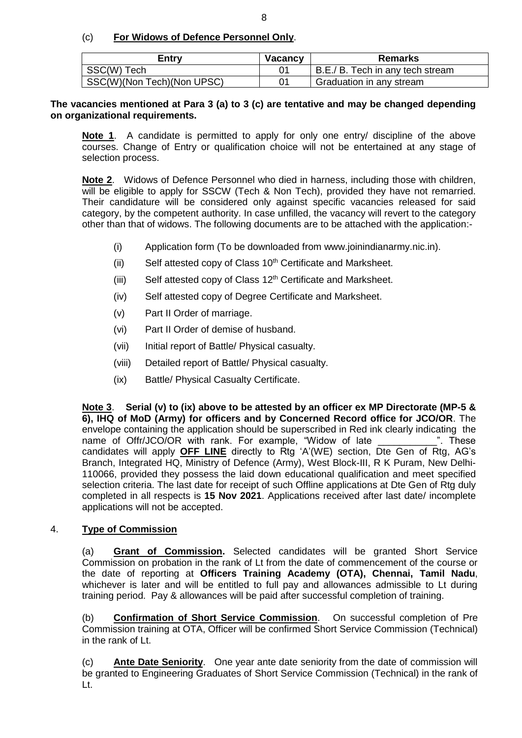(c) **For Widows of Defence Personnel Only**.

| Entrv                      | <b>Vacancy</b> | Remarks                          |
|----------------------------|----------------|----------------------------------|
| SSC(W) Tech                |                | B.E./ B. Tech in any tech stream |
| SSC(W)(Non Tech)(Non UPSC) | ი1             | Graduation in any stream         |

**The vacancies mentioned at Para 3 (a) to 3 (c) are tentative and may be changed depending on organizational requirements.**

**Note 1**.A candidate is permitted to apply for only one entry/ discipline of the above courses. Change of Entry or qualification choice will not be entertained at any stage of selection process.

**Note 2**. Widows of Defence Personnel who died in harness, including those with children, will be eligible to apply for SSCW (Tech & Non Tech), provided they have not remarried. Their candidature will be considered only against specific vacancies released for said category, by the competent authority. In case unfilled, the vacancy will revert to the category other than that of widows. The following documents are to be attached with the application:-

- (i) Application form (To be downloaded from www.joinindianarmy.nic.in).
- (ii) Self attested copy of Class  $10<sup>th</sup>$  Certificate and Marksheet.
- (iii) Self attested copy of Class  $12<sup>th</sup>$  Certificate and Marksheet.
- (iv) Self attested copy of Degree Certificate and Marksheet.
- (v) Part II Order of marriage.
- (vi) Part II Order of demise of husband.
- (vii) Initial report of Battle/ Physical casualty.
- (viii) Detailed report of Battle/ Physical casualty.
- (ix) Battle/ Physical Casualty Certificate.

**Note 3**. **Serial (v) to (ix) above to be attested by an officer ex MP Directorate (MP-5 & 6), IHQ of MoD (Army) for officers and by Concerned Record office for JCO/OR**. The envelope containing the application should be superscribed in Red ink clearly indicating the name of Offr/JCO/OR with rank. For example, "Widow of late  $\hspace{1.5cm}$ ". These candidates will apply **OFF LINE** directly to Rtg 'A'(WE) section, Dte Gen of Rtg, AG's Branch, Integrated HQ, Ministry of Defence (Army), West Block-III, R K Puram, New Delhi-110066, provided they possess the laid down educational qualification and meet specified selection criteria. The last date for receipt of such Offline applications at Dte Gen of Rtg duly completed in all respects is **15 Nov 2021**. Applications received after last date/ incomplete applications will not be accepted.

#### 4. **Type of Commission**

(a) **Grant of Commission.** Selected candidates will be granted Short Service Commission on probation in the rank of Lt from the date of commencement of the course or the date of reporting at **Officers Training Academy (OTA), Chennai, Tamil Nadu**, whichever is later and will be entitled to full pay and allowances admissible to Lt during training period. Pay & allowances will be paid after successful completion of training.

(b) **Confirmation of Short Service Commission**. On successful completion of Pre Commission training at OTA, Officer will be confirmed Short Service Commission (Technical) in the rank of Lt.

(c) **Ante Date Seniority**. One year ante date seniority from the date of commission will be granted to Engineering Graduates of Short Service Commission (Technical) in the rank of Lt.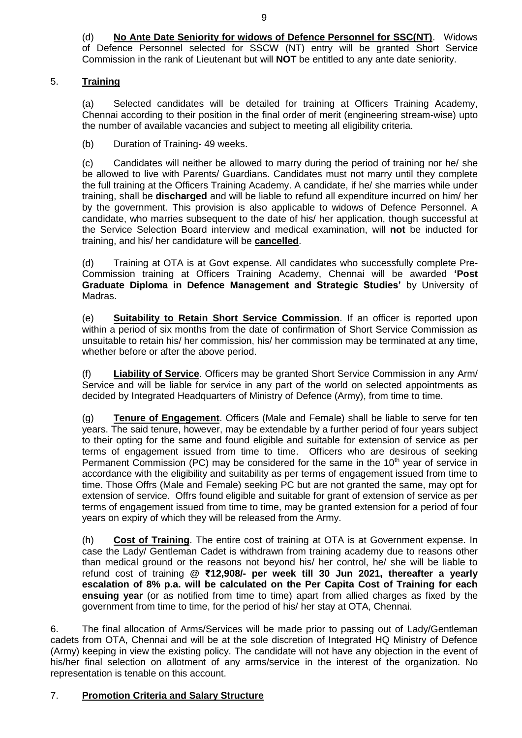(d) **No Ante Date Seniority for widows of Defence Personnel for SSC(NT)**. Widows of Defence Personnel selected for SSCW (NT) entry will be granted Short Service Commission in the rank of Lieutenant but will **NOT** be entitled to any ante date seniority.

# 5. **Training**

(a) Selected candidates will be detailed for training at Officers Training Academy, Chennai according to their position in the final order of merit (engineering stream-wise) upto the number of available vacancies and subject to meeting all eligibility criteria.

(b) Duration of Training- 49 weeks.

(c) Candidates will neither be allowed to marry during the period of training nor he/ she be allowed to live with Parents/ Guardians. Candidates must not marry until they complete the full training at the Officers Training Academy. A candidate, if he/ she marries while under training, shall be **discharged** and will be liable to refund all expenditure incurred on him/ her by the government. This provision is also applicable to widows of Defence Personnel. A candidate, who marries subsequent to the date of his/ her application, though successful at the Service Selection Board interview and medical examination, will **not** be inducted for training, and his/ her candidature will be **cancelled**.

(d) Training at OTA is at Govt expense. All candidates who successfully complete Pre-Commission training at Officers Training Academy, Chennai will be awarded **'Post Graduate Diploma in Defence Management and Strategic Studies'** by University of Madras.

(e) **Suitability to Retain Short Service Commission**. If an officer is reported upon within a period of six months from the date of confirmation of Short Service Commission as unsuitable to retain his/ her commission, his/ her commission may be terminated at any time, whether before or after the above period.

(f) **Liability of Service**. Officers may be granted Short Service Commission in any Arm/ Service and will be liable for service in any part of the world on selected appointments as decided by Integrated Headquarters of Ministry of Defence (Army), from time to time.

(g) **Tenure of Engagement**. Officers (Male and Female) shall be liable to serve for ten years. The said tenure, however, may be extendable by a further period of four years subject to their opting for the same and found eligible and suitable for extension of service as per terms of engagement issued from time to time. Officers who are desirous of seeking Permanent Commission (PC) may be considered for the same in the  $10<sup>th</sup>$  year of service in accordance with the eligibility and suitability as per terms of engagement issued from time to time. Those Offrs (Male and Female) seeking PC but are not granted the same, may opt for extension of service. Offrs found eligible and suitable for grant of extension of service as per terms of engagement issued from time to time, may be granted extension for a period of four years on expiry of which they will be released from the Army.

(h) **Cost of Training**. The entire cost of training at OTA is at Government expense. In case the Lady/ Gentleman Cadet is withdrawn from training academy due to reasons other than medical ground or the reasons not beyond his/ her control, he/ she will be liable to refund cost of training **@ ₹12,908/- per week till 30 Jun 2021, thereafter a yearly escalation of 8% p.a. will be calculated on the Per Capita Cost of Training for each ensuing year** (or as notified from time to time) apart from allied charges as fixed by the government from time to time, for the period of his/ her stay at OTA, Chennai.

6. The final allocation of Arms/Services will be made prior to passing out of Lady/Gentleman cadets from OTA, Chennai and will be at the sole discretion of Integrated HQ Ministry of Defence (Army) keeping in view the existing policy. The candidate will not have any objection in the event of his/her final selection on allotment of any arms/service in the interest of the organization. No representation is tenable on this account.

# 7. **Promotion Criteria and Salary Structure**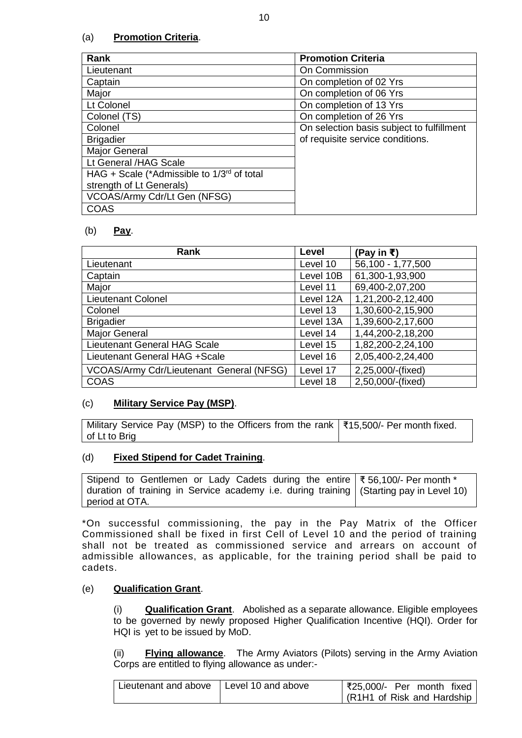# (a) **Promotion Criteria**.

| <b>Rank</b>                                     | <b>Promotion Criteria</b>                 |
|-------------------------------------------------|-------------------------------------------|
| Lieutenant                                      | On Commission                             |
| Captain                                         | On completion of 02 Yrs                   |
| Major                                           | On completion of 06 Yrs                   |
| Lt Colonel                                      | On completion of 13 Yrs                   |
| Colonel (TS)                                    | On completion of 26 Yrs                   |
| Colonel                                         | On selection basis subject to fulfillment |
| <b>Brigadier</b>                                | of requisite service conditions.          |
| Major General                                   |                                           |
| Lt General /HAG Scale                           |                                           |
| HAG + Scale (*Admissible to $1/3^{rd}$ of total |                                           |
| strength of Lt Generals)                        |                                           |
| VCOAS/Army Cdr/Lt Gen (NFSG)                    |                                           |
| COAS                                            |                                           |

#### (b) **Pay**.

| Rank                                     | Level     | (Pay in ₹)        |
|------------------------------------------|-----------|-------------------|
| Lieutenant                               | Level 10  | 56,100 - 1,77,500 |
| Captain                                  | Level 10B | 61,300-1,93,900   |
| Major                                    | Level 11  | 69,400-2,07,200   |
| <b>Lieutenant Colonel</b>                | Level 12A | 1,21,200-2,12,400 |
| Colonel                                  | Level 13  | 1,30,600-2,15,900 |
| <b>Brigadier</b>                         | Level 13A | 1,39,600-2,17,600 |
| <b>Major General</b>                     | Level 14  | 1,44,200-2,18,200 |
| Lieutenant General HAG Scale             | Level 15  | 1,82,200-2,24,100 |
| Lieutenant General HAG +Scale            | Level 16  | 2,05,400-2,24,400 |
| VCOAS/Army Cdr/Lieutenant General (NFSG) | Level 17  | 2,25,000/-(fixed) |
| <b>COAS</b>                              | Level 18  | 2,50,000/-(fixed) |

#### (c) **Military Service Pay (MSP)**.

| Military Service Pay (MSP) to the Officers from the rank   ₹15,500/- Per month fixed. |  |
|---------------------------------------------------------------------------------------|--|
| of Lt to Brig                                                                         |  |

#### (d) **Fixed Stipend for Cadet Training**.

| Stipend to Gentlemen or Lady Cadets during the entire $\frac{3}{56,100/-}$ Per month *    |  |
|-------------------------------------------------------------------------------------------|--|
| duration of training in Service academy i.e. during training   (Starting pay in Level 10) |  |
| period at OTA.                                                                            |  |

\*On successful commissioning, the pay in the Pay Matrix of the Officer Commissioned shall be fixed in first Cell of Level 10 and the period of training shall not be treated as commissioned service and arrears on account of admissible allowances, as applicable, for the training period shall be paid to cadets.

#### (e) **Qualification Grant**.

(i) **Qualification Grant**.Abolished as a separate allowance. Eligible employees to be governed by newly proposed Higher Qualification Incentive (HQI). Order for HQI is yet to be issued by MoD.

(ii) **Flying allowance**. The Army Aviators (Pilots) serving in the Army Aviation Corps are entitled to flying allowance as under:-

| Lieutenant and above   Level 10 and above | ₹25,000/- Per month fixed    |
|-------------------------------------------|------------------------------|
|                                           | (R1H1 of Risk and Hardship ' |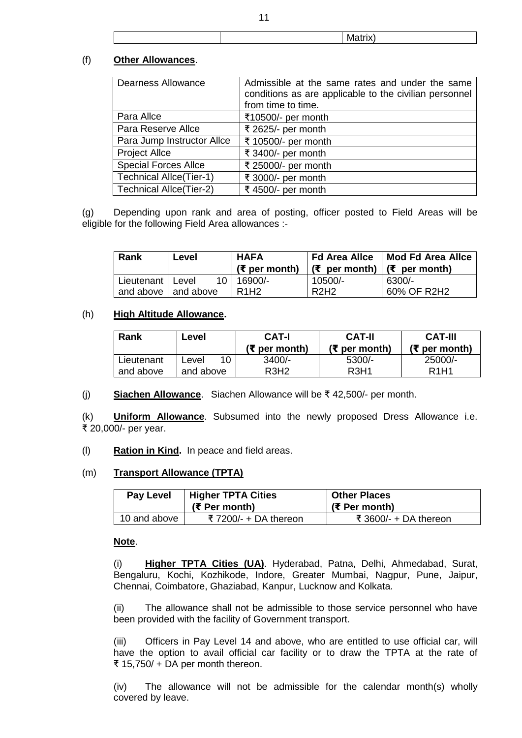|  | Matrix) |  |
|--|---------|--|

#### (f) **Other Allowances**.

| <b>Dearness Allowance</b>      | Admissible at the same rates and under the same<br>conditions as are applicable to the civilian personnel<br>from time to time. |
|--------------------------------|---------------------------------------------------------------------------------------------------------------------------------|
| Para Allce                     | ₹10500/- per month                                                                                                              |
| Para Reserve Allce             | ₹ 2625/- per month                                                                                                              |
| Para Jump Instructor Allce     | ₹ 10500/- per month                                                                                                             |
| <b>Project Allce</b>           | ₹ 3400/- per month                                                                                                              |
| <b>Special Forces Allce</b>    | ₹ 25000/- per month                                                                                                             |
| <b>Technical Allce(Tier-1)</b> | ₹ 3000/- per month                                                                                                              |
| <b>Technical Allce(Tier-2)</b> | ₹ 4500/- per month                                                                                                              |

(g) Depending upon rank and area of posting, officer posted to Field Areas will be eligible for the following Field Area allowances :-

| <b>Rank</b>           | Level | ' HAFA<br>( $\overline{\xi}$ per month) | Fd Area Allce<br>$\frac{1}{\sqrt{5}}$ per month) $\frac{1}{\sqrt{5}}$ per month) | Mod Fd Area Allce |
|-----------------------|-------|-----------------------------------------|----------------------------------------------------------------------------------|-------------------|
| Lieutenant   Level    | 10.   | 16900/-                                 | 10500/-                                                                          | 6300/-            |
| and above   and above |       | R <sub>1</sub> H <sub>2</sub>           | R <sub>2</sub> H <sub>2</sub>                                                    | 60% OF R2H2       |

#### (h) **High Altitude Allowance.**

| Rank                    | Level                    | CAT-I<br>(₹ per month)                    | <b>CAT-II</b><br>(₹ per month)            | <b>CAT-III</b><br>(₹ per month)          |
|-------------------------|--------------------------|-------------------------------------------|-------------------------------------------|------------------------------------------|
| Lieutenant<br>and above | 10<br>_evel<br>and above | $3400/-$<br>R <sub>3</sub> H <sub>2</sub> | $5300/-$<br>R <sub>3</sub> H <sub>1</sub> | 25000/-<br>R <sub>1</sub> H <sub>1</sub> |
|                         |                          |                                           |                                           |                                          |

(j) **Siachen Allowance**. Siachen Allowance will be ₹ 42,500/- per month.

(k) **Uniform Allowance**. Subsumed into the newly proposed Dress Allowance i.e. ₹ 20,000/- per year.

(l) **Ration in Kind.** In peace and field areas.

#### (m) **Transport Allowance (TPTA)**

| Pay Level    | <b>Higher TPTA Cities</b><br>(₹ Per month) | <b>Other Places</b><br>(₹ Per month) |  |
|--------------|--------------------------------------------|--------------------------------------|--|
| 10 and above | ₹7200/- + DA thereon                       | ₹ 3600/- + DA thereon                |  |

#### **Note**.

(i) **Higher TPTA Cities (UA)**. Hyderabad, Patna, Delhi, Ahmedabad, Surat, Bengaluru, Kochi, Kozhikode, Indore, Greater Mumbai, Nagpur, Pune, Jaipur, Chennai, Coimbatore, Ghaziabad, Kanpur, Lucknow and Kolkata.

(ii) The allowance shall not be admissible to those service personnel who have been provided with the facility of Government transport.

(iii) Officers in Pay Level 14 and above, who are entitled to use official car, will have the option to avail official car facility or to draw the TPTA at the rate of ₹ 15,750/ + DA per month thereon.

(iv) The allowance will not be admissible for the calendar month(s) wholly covered by leave.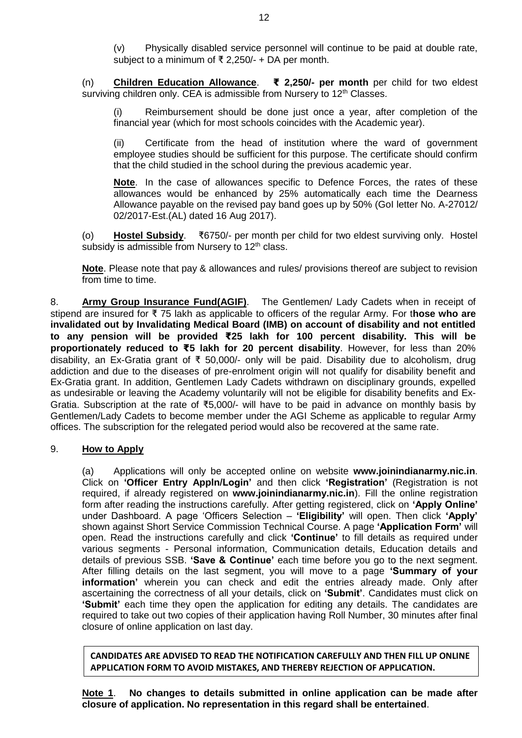(v) Physically disabled service personnel will continue to be paid at double rate, subject to a minimum of ₹ 2,250/- + DA per month.

(n) **Children Education Allowance**. **₹ 2,250/- per month** per child for two eldest surviving children only. CEA is admissible from Nursery to 12<sup>th</sup> Classes.

(i) Reimbursement should be done just once a year, after completion of the financial year (which for most schools coincides with the Academic year).

(ii) Certificate from the head of institution where the ward of government employee studies should be sufficient for this purpose. The certificate should confirm that the child studied in the school during the previous academic year.

**Note**. In the case of allowances specific to Defence Forces, the rates of these allowances would be enhanced by 25% automatically each time the Dearness Allowance payable on the revised pay band goes up by 50% (GoI letter No. A-27012/ 02/2017-Est.(AL) dated 16 Aug 2017).

(o) **Hostel Subsidy**. ₹6750/- per month per child for two eldest surviving only. Hostel subsidy is admissible from Nursery to  $12<sup>th</sup>$  class.

**Note**. Please note that pay & allowances and rules/ provisions thereof are subject to revision from time to time.

8. **Army Group Insurance Fund(AGIF)**.The Gentlemen/ Lady Cadets when in receipt of stipend are insured for ₹ 75 lakh as applicable to officers of the regular Army. For t**hose who are invalidated out by Invalidating Medical Board (IMB) on account of disability and not entitled to any pension will be provided ₹25 lakh for 100 percent disability. This will be proportionately reduced to ₹5 lakh for 20 percent disability**. However, for less than 20% disability, an Ex-Gratia grant of ₹ 50,000/- only will be paid. Disability due to alcoholism, drug addiction and due to the diseases of pre-enrolment origin will not qualify for disability benefit and Ex-Gratia grant. In addition, Gentlemen Lady Cadets withdrawn on disciplinary grounds, expelled as undesirable or leaving the Academy voluntarily will not be eligible for disability benefits and Ex-Gratia. Subscription at the rate of ₹5,000/- will have to be paid in advance on monthly basis by Gentlemen/Lady Cadets to become member under the AGI Scheme as applicable to regular Army offices. The subscription for the relegated period would also be recovered at the same rate.

#### 9. **How to Apply**

(a) Applications will only be accepted online on website **www.joinindianarmy.nic.in**. Click on **'Officer Entry Appln/Login'** and then click **'Registration'** (Registration is not required, if already registered on **[www.joinindianarmy.nic.in](http://www.joinindianarmy.nic.in/)**). Fill the online registration form after reading the instructions carefully. After getting registered, click on **'Apply Online'** under Dashboard. A page 'Officers Selection – **'Eligibility'** will open. Then click **'Apply'** shown against Short Service Commission Technical Course. A page **'Application Form'** will open. Read the instructions carefully and click **'Continue'** to fill details as required under various segments - Personal information, Communication details, Education details and details of previous SSB. **'Save & Continue'** each time before you go to the next segment. After filling details on the last segment, you will move to a page **'Summary of your information'** wherein you can check and edit the entries already made. Only after ascertaining the correctness of all your details, click on **'Submit'**. Candidates must click on **'Submit'** each time they open the application for editing any details. The candidates are required to take out two copies of their application having Roll Number, 30 minutes after final closure of online application on last day.

**CANDIDATES ARE ADVISED TO READ THE NOTIFICATION CAREFULLY AND THEN FILL UP ONLINE APPLICATION FORM TO AVOID MISTAKES, AND THEREBY REJECTION OF APPLICATION.**

**Note 1**. **No changes to details submitted in online application can be made after closure of application. No representation in this regard shall be entertained**.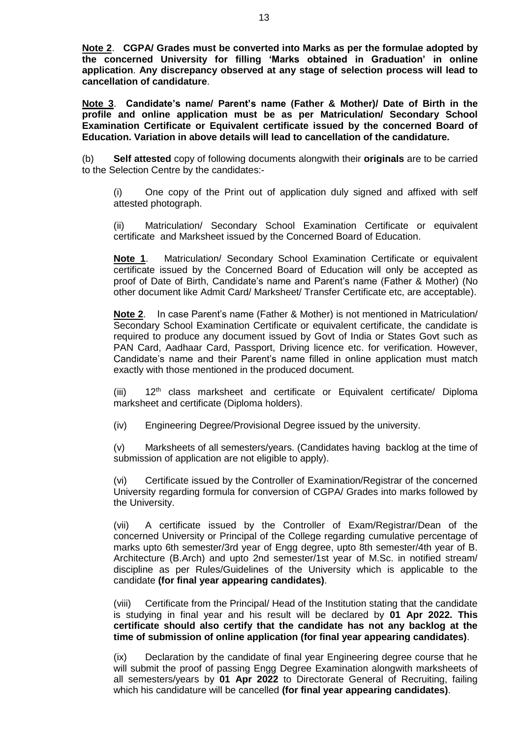**Note 2**. **CGPA/ Grades must be converted into Marks as per the formulae adopted by the concerned University for filling 'Marks obtained in Graduation' in online application**. **Any discrepancy observed at any stage of selection process will lead to cancellation of candidature**.

**Note 3**. **Candidate's name/ Parent's name (Father & Mother)/ Date of Birth in the profile and online application must be as per Matriculation/ Secondary School Examination Certificate or Equivalent certificate issued by the concerned Board of Education. Variation in above details will lead to cancellation of the candidature.**

(b) **Self attested** copy of following documents alongwith their **originals** are to be carried to the Selection Centre by the candidates:-

(i) One copy of the Print out of application duly signed and affixed with self attested photograph.

(ii) Matriculation/ Secondary School Examination Certificate or equivalent certificate and Marksheet issued by the Concerned Board of Education.

**Note 1**. Matriculation/ Secondary School Examination Certificate or equivalent certificate issued by the Concerned Board of Education will only be accepted as proof of Date of Birth, Candidate's name and Parent's name (Father & Mother) (No other document like Admit Card/ Marksheet/ Transfer Certificate etc, are acceptable).

**Note 2**. In case Parent's name (Father & Mother) is not mentioned in Matriculation/ Secondary School Examination Certificate or equivalent certificate, the candidate is required to produce any document issued by Govt of India or States Govt such as PAN Card, Aadhaar Card, Passport, Driving licence etc. for verification. However, Candidate's name and their Parent's name filled in online application must match exactly with those mentioned in the produced document.

(iii)  $12<sup>th</sup>$  class marksheet and certificate or Equivalent certificate/ Diploma marksheet and certificate (Diploma holders).

(iv) Engineering Degree/Provisional Degree issued by the university.

(v) Marksheets of all semesters/years. (Candidates having backlog at the time of submission of application are not eligible to apply).

(vi) Certificate issued by the Controller of Examination/Registrar of the concerned University regarding formula for conversion of CGPA/ Grades into marks followed by the University.

(vii) A certificate issued by the Controller of Exam/Registrar/Dean of the concerned University or Principal of the College regarding cumulative percentage of marks upto 6th semester/3rd year of Engg degree, upto 8th semester/4th year of B. Architecture (B.Arch) and upto 2nd semester/1st year of M.Sc. in notified stream/ discipline as per Rules/Guidelines of the University which is applicable to the candidate **(for final year appearing candidates)**.

(viii) Certificate from the Principal/ Head of the Institution stating that the candidate is studying in final year and his result will be declared by **01 Apr 2022. This certificate should also certify that the candidate has not any backlog at the time of submission of online application (for final year appearing candidates)**.

(ix) Declaration by the candidate of final year Engineering degree course that he will submit the proof of passing Engg Degree Examination alongwith marksheets of all semesters/years by **01 Apr 2022** to Directorate General of Recruiting, failing which his candidature will be cancelled **(for final year appearing candidates)**.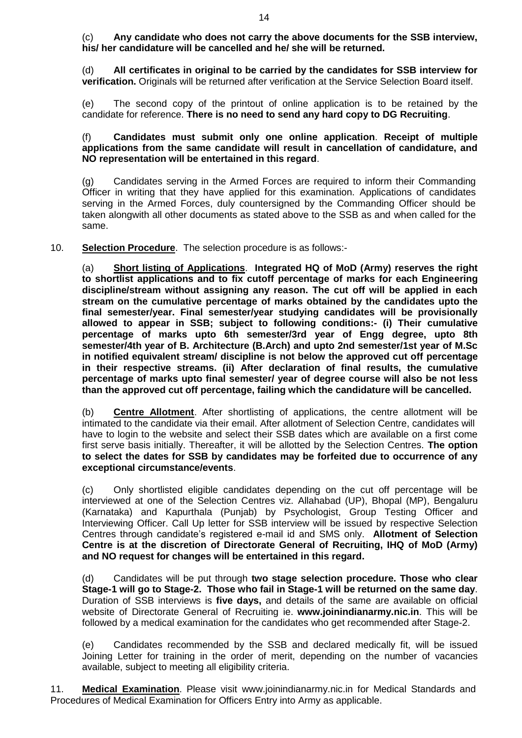(c) **Any candidate who does not carry the above documents for the SSB interview, his/ her candidature will be cancelled and he/ she will be returned.**

(d) **All certificates in original to be carried by the candidates for SSB interview for verification.** Originals will be returned after verification at the Service Selection Board itself.

(e) The second copy of the printout of online application is to be retained by the candidate for reference. **There is no need to send any hard copy to DG Recruiting**.

#### (f) **Candidates must submit only one online application**. **Receipt of multiple applications from the same candidate will result in cancellation of candidature, and NO representation will be entertained in this regard**.

(g) Candidates serving in the Armed Forces are required to inform their Commanding Officer in writing that they have applied for this examination. Applications of candidates serving in the Armed Forces, duly countersigned by the Commanding Officer should be taken alongwith all other documents as stated above to the SSB as and when called for the same.

10. **Selection Procedure**. The selection procedure is as follows:-

(a) **Short listing of Applications**. **Integrated HQ of MoD (Army) reserves the right to shortlist applications and to fix cutoff percentage of marks for each Engineering discipline/stream without assigning any reason. The cut off will be applied in each stream on the cumulative percentage of marks obtained by the candidates upto the final semester/year. Final semester/year studying candidates will be provisionally allowed to appear in SSB; subject to following conditions:- (i) Their cumulative percentage of marks upto 6th semester/3rd year of Engg degree, upto 8th semester/4th year of B. Architecture (B.Arch) and upto 2nd semester/1st year of M.Sc in notified equivalent stream/ discipline is not below the approved cut off percentage in their respective streams. (ii) After declaration of final results, the cumulative percentage of marks upto final semester/ year of degree course will also be not less than the approved cut off percentage, failing which the candidature will be cancelled.**

(b) **Centre Allotment**. After shortlisting of applications, the centre allotment will be intimated to the candidate via their email. After allotment of Selection Centre, candidates will have to login to the website and select their SSB dates which are available on a first come first serve basis initially. Thereafter, it will be allotted by the Selection Centres. **The option to select the dates for SSB by candidates may be forfeited due to occurrence of any exceptional circumstance/events**.

(c) Only shortlisted eligible candidates depending on the cut off percentage will be interviewed at one of the Selection Centres viz. Allahabad (UP), Bhopal (MP), Bengaluru (Karnataka) and Kapurthala (Punjab) by Psychologist, Group Testing Officer and Interviewing Officer. Call Up letter for SSB interview will be issued by respective Selection Centres through candidate's registered e-mail id and SMS only. **Allotment of Selection Centre is at the discretion of Directorate General of Recruiting, IHQ of MoD (Army) and NO request for changes will be entertained in this regard.** 

(d) Candidates will be put through **two stage selection procedure. Those who clear Stage-1 will go to Stage-2. Those who fail in Stage-1 will be returned on the same day**. Duration of SSB interviews is **five days,** and details of the same are available on official website of Directorate General of Recruiting ie. **[www.joinindianarmy.nic.in](http://www.joinindianarmy.nic.in/)**. This will be followed by a medical examination for the candidates who get recommended after Stage-2.

(e) Candidates recommended by the SSB and declared medically fit, will be issued Joining Letter for training in the order of merit, depending on the number of vacancies available, subject to meeting all eligibility criteria.

11. **Medical Examination**. Please visit [www.joinindianarmy.nic.in](http://www.joinindianarmy.nic.in/) for Medical Standards and Procedures of Medical Examination for Officers Entry into Army as applicable.

14